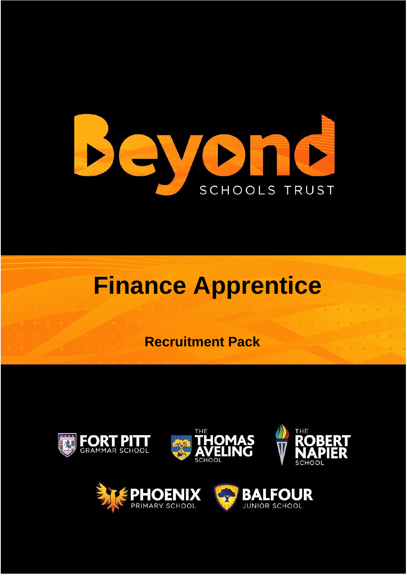

# **Finance Apprentice**

 **Recruitment Pack**





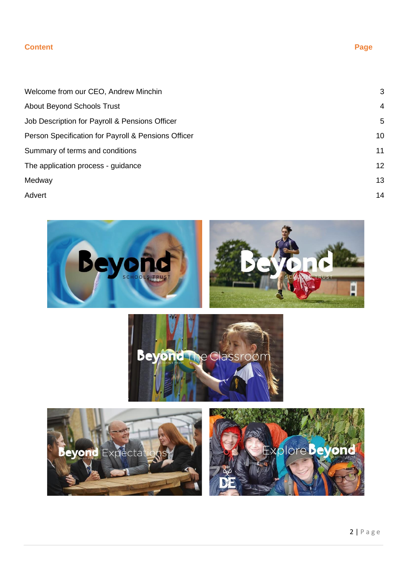#### **Content Page 2018**

# Welcome from our CEO, Andrew Minchin 3 About Beyond Schools Trust 4 Job Description for Payroll & Pensions Officer 5 and 3 and 3 and 3 and 3 and 3 and 3 and 3 and 3 and 3 and 3 and 3 and 3 and 3 and 3 and 3 and 3 and 3 and 3 and 3 and 3 and 3 and 3 and 3 and 3 and 3 and 3 and 3 and 3 and 3 Person Specification for Payroll & Pensions Officer 10 10 10 Summary of terms and conditions 11 The application process - guidance 12 Medway 13 Advert 2008 and 2008 and 2008 and 2008 and 2008 and 2008 and 2008 and 2008 and 2008 and 2008 and 2008 and 2008

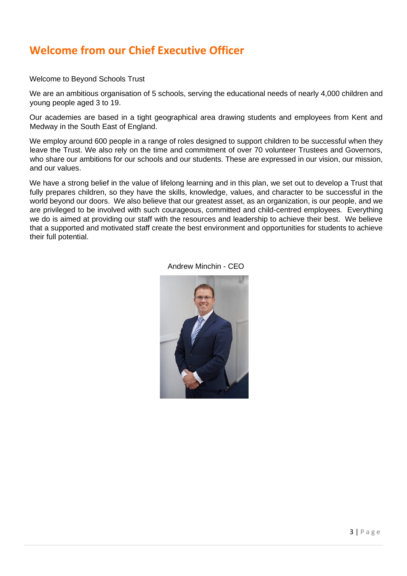### **Welcome from our Chief Executive Officer**

Welcome to Beyond Schools Trust

We are an ambitious organisation of 5 schools, serving the educational needs of nearly 4,000 children and young people aged 3 to 19.

Our academies are based in a tight geographical area drawing students and employees from Kent and Medway in the South East of England.

We employ around 600 people in a range of roles designed to support children to be successful when they leave the Trust. We also rely on the time and commitment of over 70 volunteer Trustees and Governors, who share our ambitions for our schools and our students. These are expressed in our vision, our mission, and our values.

We have a strong belief in the value of lifelong learning and in this plan, we set out to develop a Trust that fully prepares children, so they have the skills, knowledge, values, and character to be successful in the world beyond our doors. We also believe that our greatest asset, as an organization, is our people, and we are privileged to be involved with such courageous, committed and child-centred employees. Everything we do is aimed at providing our staff with the resources and leadership to achieve their best. We believe that a supported and motivated staff create the best environment and opportunities for students to achieve their full potential.



Andrew Minchin - CEO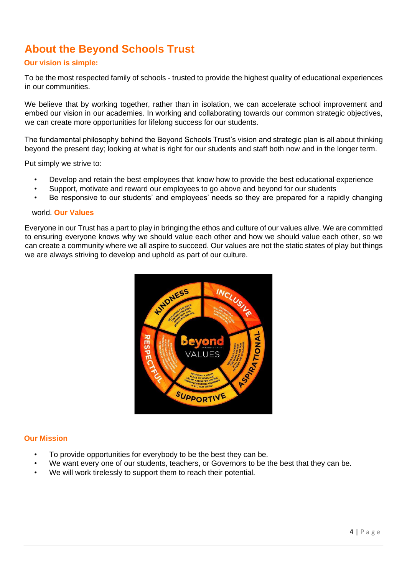### **About the Beyond Schools Trust**

#### **Our vision is simple:**

To be the most respected family of schools - trusted to provide the highest quality of educational experiences in our communities.

We believe that by working together, rather than in isolation, we can accelerate school improvement and embed our vision in our academies. In working and collaborating towards our common strategic objectives, we can create more opportunities for lifelong success for our students.

The fundamental philosophy behind the Beyond Schools Trust's vision and strategic plan is all about thinking beyond the present day; looking at what is right for our students and staff both now and in the longer term.

Put simply we strive to:

- Develop and retain the best employees that know how to provide the best educational experience
- Support, motivate and reward our employees to go above and beyond for our students
- Be responsive to our students' and employees' needs so they are prepared for a rapidly changing

#### world. **Our Values**

Everyone in our Trust has a part to play in bringing the ethos and culture of our values alive. We are committed to ensuring everyone knows why we should value each other and how we should value each other, so we can create a community where we all aspire to succeed. Our values are not the static states of play but things we are always striving to develop and uphold as part of our culture.



#### **Our Mission**

- To provide opportunities for everybody to be the best they can be.
- We want every one of our students, teachers, or Governors to be the best that they can be.
- We will work tirelessly to support them to reach their potential.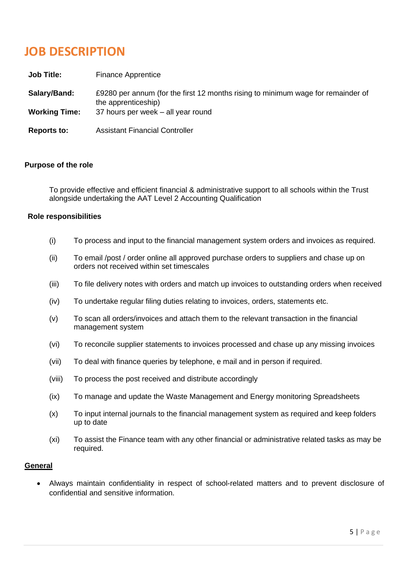# **JOB DESCRIPTION**

| <b>Job Title:</b>    | Finance Apprentice                                                                                      |
|----------------------|---------------------------------------------------------------------------------------------------------|
| Salary/Band:         | £9280 per annum (for the first 12 months rising to minimum wage for remainder of<br>the apprenticeship) |
| <b>Working Time:</b> | 37 hours per week – all year round                                                                      |
| <b>Reports to:</b>   | <b>Assistant Financial Controller</b>                                                                   |

#### **Purpose of the role**

To provide effective and efficient financial & administrative support to all schools within the Trust alongside undertaking the AAT Level 2 Accounting Qualification

#### **Role responsibilities**

- (i) To process and input to the financial management system orders and invoices as required.
- (ii) To email /post / order online all approved purchase orders to suppliers and chase up on orders not received within set timescales
- (iii) To file delivery notes with orders and match up invoices to outstanding orders when received
- (iv) To undertake regular filing duties relating to invoices, orders, statements etc.
- (v) To scan all orders/invoices and attach them to the relevant transaction in the financial management system
- (vi) To reconcile supplier statements to invoices processed and chase up any missing invoices
- (vii) To deal with finance queries by telephone, e mail and in person if required.
- (viii) To process the post received and distribute accordingly
- (ix) To manage and update the Waste Management and Energy monitoring Spreadsheets
- (x) To input internal journals to the financial management system as required and keep folders up to date
- (xi) To assist the Finance team with any other financial or administrative related tasks as may be required.

#### **General**

• Always maintain confidentiality in respect of school-related matters and to prevent disclosure of confidential and sensitive information.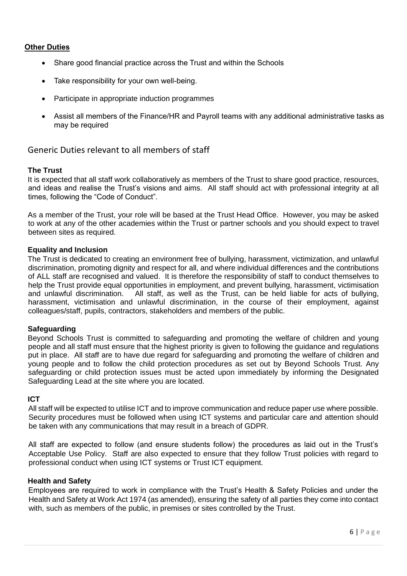#### **Other Duties**

- Share good financial practice across the Trust and within the Schools
- Take responsibility for your own well-being.
- Participate in appropriate induction programmes
- Assist all members of the Finance/HR and Payroll teams with any additional administrative tasks as may be required

#### Generic Duties relevant to all members of staff

#### **The Trust**

It is expected that all staff work collaboratively as members of the Trust to share good practice, resources, and ideas and realise the Trust's visions and aims. All staff should act with professional integrity at all times, following the "Code of Conduct".

As a member of the Trust, your role will be based at the Trust Head Office. However, you may be asked to work at any of the other academies within the Trust or partner schools and you should expect to travel between sites as required.

#### **Equality and Inclusion**

The Trust is dedicated to creating an environment free of bullying, harassment, victimization, and unlawful discrimination, promoting dignity and respect for all, and where individual differences and the contributions of ALL staff are recognised and valued. It is therefore the responsibility of staff to conduct themselves to help the Trust provide equal opportunities in employment, and prevent bullying, harassment, victimisation and unlawful discrimination. All staff, as well as the Trust, can be held liable for acts of bullying, harassment, victimisation and unlawful discrimination, in the course of their employment, against colleagues/staff, pupils, contractors, stakeholders and members of the public.

#### **Safeguarding**

Beyond Schools Trust is committed to safeguarding and promoting the welfare of children and young people and all staff must ensure that the highest priority is given to following the guidance and regulations put in place. All staff are to have due regard for safeguarding and promoting the welfare of children and young people and to follow the child protection procedures as set out by Beyond Schools Trust. Any safeguarding or child protection issues must be acted upon immediately by informing the Designated Safeguarding Lead at the site where you are located.

#### **ICT**

All staff will be expected to utilise ICT and to improve communication and reduce paper use where possible. Security procedures must be followed when using ICT systems and particular care and attention should be taken with any communications that may result in a breach of GDPR.

All staff are expected to follow (and ensure students follow) the procedures as laid out in the Trust's Acceptable Use Policy. Staff are also expected to ensure that they follow Trust policies with regard to professional conduct when using ICT systems or Trust ICT equipment.

#### **Health and Safety**

Employees are required to work in compliance with the Trust's Health & Safety Policies and under the Health and Safety at Work Act 1974 (as amended), ensuring the safety of all parties they come into contact with, such as members of the public, in premises or sites controlled by the Trust.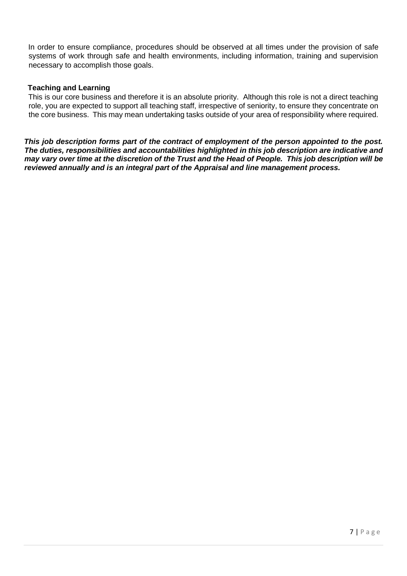In order to ensure compliance, procedures should be observed at all times under the provision of safe systems of work through safe and health environments, including information, training and supervision necessary to accomplish those goals.

#### **Teaching and Learning**

This is our core business and therefore it is an absolute priority. Although this role is not a direct teaching role, you are expected to support all teaching staff, irrespective of seniority, to ensure they concentrate on the core business. This may mean undertaking tasks outside of your area of responsibility where required.

*This job description forms part of the contract of employment of the person appointed to the post. The duties, responsibilities and accountabilities highlighted in this job description are indicative and may vary over time at the discretion of the Trust and the Head of People. This job description will be reviewed annually and is an integral part of the Appraisal and line management process.*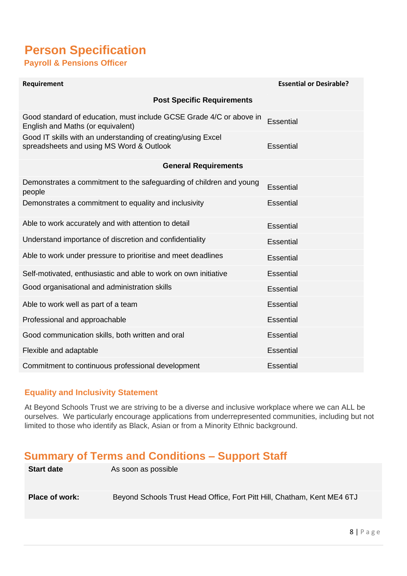### **Person Specification Payroll & Pensions Officer**

| Requirement                                                                                              | <b>Essential or Desirable?</b> |
|----------------------------------------------------------------------------------------------------------|--------------------------------|
| <b>Post Specific Requirements</b>                                                                        |                                |
| Good standard of education, must include GCSE Grade 4/C or above in<br>English and Maths (or equivalent) | <b>Essential</b>               |
| Good IT skills with an understanding of creating/using Excel<br>spreadsheets and using MS Word & Outlook | <b>Essential</b>               |
| <b>General Requirements</b>                                                                              |                                |
| Demonstrates a commitment to the safeguarding of children and young<br>people                            | Essential                      |
| Demonstrates a commitment to equality and inclusivity                                                    | Essential                      |
| Able to work accurately and with attention to detail                                                     | <b>Essential</b>               |
| Understand importance of discretion and confidentiality                                                  | Essential                      |
| Able to work under pressure to prioritise and meet deadlines                                             | <b>Essential</b>               |
| Self-motivated, enthusiastic and able to work on own initiative                                          | Essential                      |
| Good organisational and administration skills                                                            | <b>Essential</b>               |
| Able to work well as part of a team                                                                      | <b>Essential</b>               |
| Professional and approachable                                                                            | Essential                      |
| Good communication skills, both written and oral                                                         | <b>Essential</b>               |
| Flexible and adaptable                                                                                   | <b>Essential</b>               |
| Commitment to continuous professional development                                                        | <b>Essential</b>               |

### **Equality and Inclusivity Statement**

At Beyond Schools Trust we are striving to be a diverse and inclusive workplace where we can ALL be ourselves. We particularly encourage applications from underrepresented communities, including but not limited to those who identify as Black, Asian or from a Minority Ethnic background.

### **Summary of Terms and Conditions – Support Staff**

| <b>Start date</b> | As soon as possible                                                     |
|-------------------|-------------------------------------------------------------------------|
| Place of work:    | Beyond Schools Trust Head Office, Fort Pitt Hill, Chatham, Kent ME4 6TJ |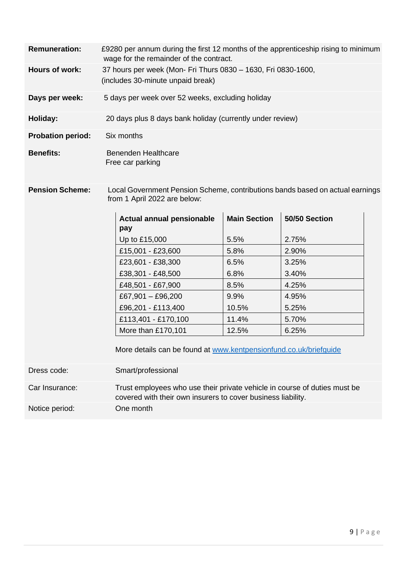| <b>Remuneration:</b>     | £9280 per annum during the first 12 months of the apprenticeship rising to minimum<br>wage for the remainder of the contract. |
|--------------------------|-------------------------------------------------------------------------------------------------------------------------------|
| Hours of work:           | 37 hours per week (Mon- Fri Thurs 0830 - 1630, Fri 0830-1600,<br>(includes 30-minute unpaid break)                            |
| Days per week:           | 5 days per week over 52 weeks, excluding holiday                                                                              |
| Holiday:                 | 20 days plus 8 days bank holiday (currently under review)                                                                     |
| <b>Probation period:</b> | Six months                                                                                                                    |
| <b>Benefits:</b>         | Benenden Healthcare<br>Free car parking                                                                                       |

**Pension Scheme:** Local Government Pension Scheme, contributions bands based on actual earnings from 1 April 2022 are below:

| Actual annual pensionable | <b>Main Section</b> | 50/50 Section |
|---------------------------|---------------------|---------------|
| pay                       |                     |               |
| Up to £15,000             | 5.5%                | 2.75%         |
| £15,001 - £23,600         | 5.8%                | 2.90%         |
| £23,601 - £38,300         | 6.5%                | 3.25%         |
| £38,301 - £48,500         | 6.8%                | 3.40%         |
| £48,501 - £67,900         | 8.5%                | 4.25%         |
| £67,901 $-$ £96,200       | $9.9\%$             | 4.95%         |
| £96,201 - £113,400        | 10.5%               | 5.25%         |
| £113,401 - £170,100       | 11.4%               | 5.70%         |
| More than £170,101        | 12.5%               | 6.25%         |

More details can be found at [www.kentpensionfund.co.uk/briefguide](http://www.kentpensionfund.co.uk/briefguide)

Dress code: Smart/professional Car Insurance: Trust employees who use their private vehicle in course of duties must be covered with their own insurers to cover business liability. Notice period: One month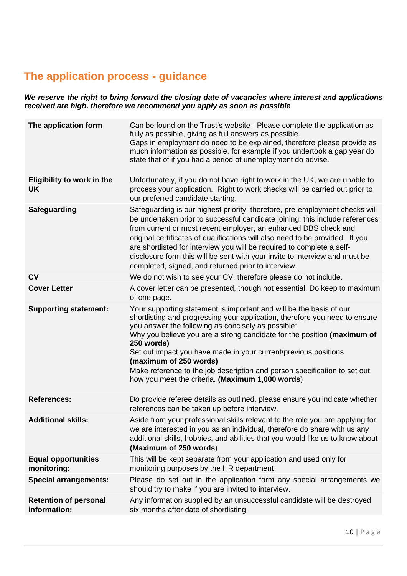### **The application process - guidance**

*We reserve the right to bring forward the closing date of vacancies where interest and applications received are high, therefore we recommend you apply as soon as possible* 

| The application form                         | Can be found on the Trust's website - Please complete the application as<br>fully as possible, giving as full answers as possible.<br>Gaps in employment do need to be explained, therefore please provide as<br>much information as possible, for example if you undertook a gap year do<br>state that of if you had a period of unemployment do advise.                                                                                                                                                                       |
|----------------------------------------------|---------------------------------------------------------------------------------------------------------------------------------------------------------------------------------------------------------------------------------------------------------------------------------------------------------------------------------------------------------------------------------------------------------------------------------------------------------------------------------------------------------------------------------|
| Eligibility to work in the<br><b>UK</b>      | Unfortunately, if you do not have right to work in the UK, we are unable to<br>process your application. Right to work checks will be carried out prior to<br>our preferred candidate starting.                                                                                                                                                                                                                                                                                                                                 |
| <b>Safeguarding</b>                          | Safeguarding is our highest priority; therefore, pre-employment checks will<br>be undertaken prior to successful candidate joining, this include references<br>from current or most recent employer, an enhanced DBS check and<br>original certificates of qualifications will also need to be provided. If you<br>are shortlisted for interview you will be required to complete a self-<br>disclosure form this will be sent with your invite to interview and must be<br>completed, signed, and returned prior to interview. |
| <b>CV</b>                                    | We do not wish to see your CV, therefore please do not include.                                                                                                                                                                                                                                                                                                                                                                                                                                                                 |
| <b>Cover Letter</b>                          | A cover letter can be presented, though not essential. Do keep to maximum<br>of one page.                                                                                                                                                                                                                                                                                                                                                                                                                                       |
| <b>Supporting statement:</b>                 | Your supporting statement is important and will be the basis of our<br>shortlisting and progressing your application, therefore you need to ensure<br>you answer the following as concisely as possible:<br>Why you believe you are a strong candidate for the position (maximum of<br>250 words)<br>Set out impact you have made in your current/previous positions<br>(maximum of 250 words)<br>Make reference to the job description and person specification to set out<br>how you meet the criteria. (Maximum 1,000 words) |
| <b>References:</b>                           | Do provide referee details as outlined, please ensure you indicate whether<br>references can be taken up before interview.                                                                                                                                                                                                                                                                                                                                                                                                      |
| <b>Additional skills:</b>                    | Aside from your professional skills relevant to the role you are applying for<br>we are interested in you as an individual, therefore do share with us any<br>additional skills, hobbies, and abilities that you would like us to know about<br>(Maximum of 250 words)                                                                                                                                                                                                                                                          |
| <b>Equal opportunities</b><br>monitoring:    | This will be kept separate from your application and used only for<br>monitoring purposes by the HR department                                                                                                                                                                                                                                                                                                                                                                                                                  |
| <b>Special arrangements:</b>                 | Please do set out in the application form any special arrangements we<br>should try to make if you are invited to interview.                                                                                                                                                                                                                                                                                                                                                                                                    |
| <b>Retention of personal</b><br>information: | Any information supplied by an unsuccessful candidate will be destroyed<br>six months after date of shortlisting.                                                                                                                                                                                                                                                                                                                                                                                                               |
|                                              |                                                                                                                                                                                                                                                                                                                                                                                                                                                                                                                                 |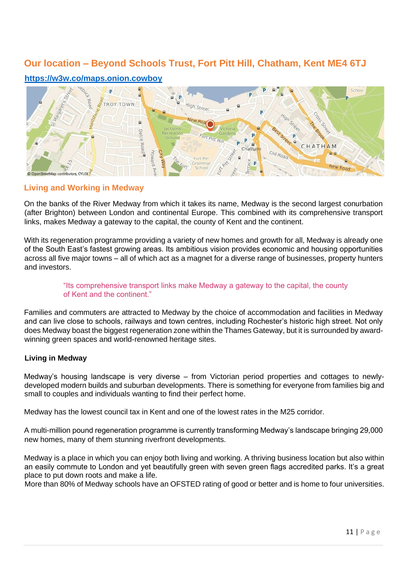### **Our location – Beyond Schools Trust, Fort Pitt Hill, Chatham, Kent ME4 6TJ**

#### **<https://w3w.co/maps.onion.cowboy>**



#### **Living and Working in Medway**

On the banks of the River Medway from which it takes its name, Medway is the second largest conurbation (after Brighton) between London and continental Europe. This combined with its comprehensive transport links, makes Medway a gateway to the capital, the county of Kent and the continent.

With its regeneration programme providing a variety of new homes and growth for all, Medway is already one of the South East's fastest growing areas. Its ambitious vision provides economic and housing opportunities across all five major towns – all of which act as a magnet for a diverse range of businesses, property hunters and investors.

#### "Its comprehensive transport links make Medway a gateway to the capital, the county of Kent and the continent."

Families and commuters are attracted to Medway by the choice of accommodation and facilities in Medway and can live close to schools, railways and town centres, including Rochester's historic high street. Not only does Medway boast the biggest regeneration zone within the Thames Gateway, but it is surrounded by awardwinning green spaces and world-renowned heritage sites.

#### **Living in Medway**

Medway's housing landscape is very diverse – from Victorian period properties and cottages to newlydeveloped modern builds and suburban developments. There is something for everyone from families big and small to couples and individuals wanting to find their perfect home.

Medway has the lowest council tax in Kent and one of the lowest rates in the M25 corridor.

A multi-million pound regeneration programme is currently transforming Medway's landscape bringing 29,000 new homes, many of them stunning riverfront developments.

Medway is a place in which you can enjoy both living and working. A thriving business location but also within an easily commute to London and yet beautifully green with seven green flags accredited parks. It's a great place to put down roots and make a life.

More than 80% of Medway schools have an OFSTED rating of good or better and is home to four universities.